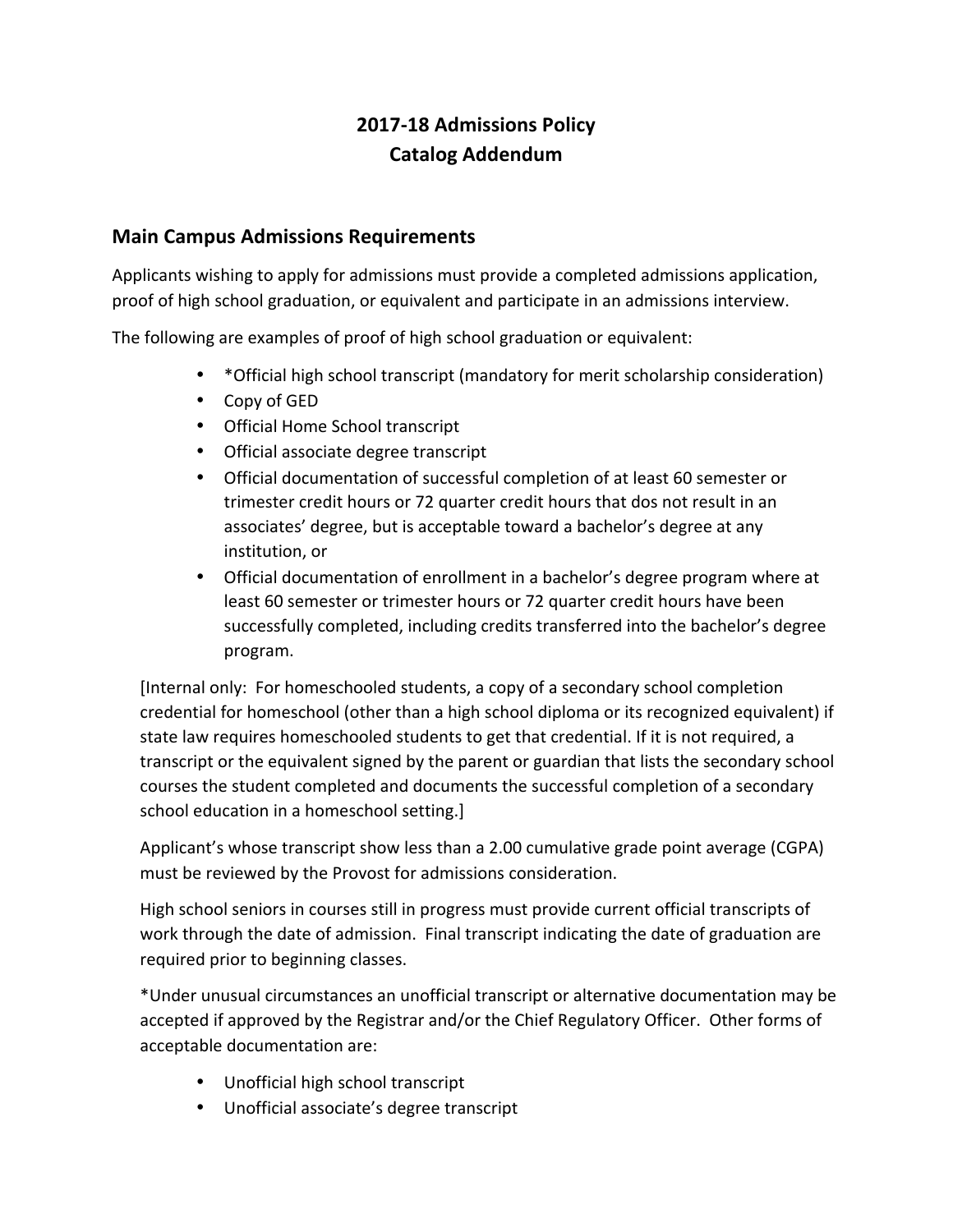# **2017-18 Admissions Policy Catalog Addendum**

# **Main Campus Admissions Requirements**

Applicants wishing to apply for admissions must provide a completed admissions application, proof of high school graduation, or equivalent and participate in an admissions interview.

The following are examples of proof of high school graduation or equivalent:

- \* Official high school transcript (mandatory for merit scholarship consideration)
- Copy of GED
- Official Home School transcript
- Official associate degree transcript
- Official documentation of successful completion of at least 60 semester or trimester credit hours or 72 quarter credit hours that dos not result in an associates' degree, but is acceptable toward a bachelor's degree at any institution, or
- Official documentation of enrollment in a bachelor's degree program where at least 60 semester or trimester hours or 72 quarter credit hours have been successfully completed, including credits transferred into the bachelor's degree program.

[Internal only: For homeschooled students, a copy of a secondary school completion credential for homeschool (other than a high school diploma or its recognized equivalent) if state law requires homeschooled students to get that credential. If it is not required, a transcript or the equivalent signed by the parent or guardian that lists the secondary school courses the student completed and documents the successful completion of a secondary school education in a homeschool setting.]

Applicant's whose transcript show less than a 2.00 cumulative grade point average (CGPA) must be reviewed by the Provost for admissions consideration.

High school seniors in courses still in progress must provide current official transcripts of work through the date of admission. Final transcript indicating the date of graduation are required prior to beginning classes.

\*Under unusual circumstances an unofficial transcript or alternative documentation may be accepted if approved by the Registrar and/or the Chief Regulatory Officer. Other forms of acceptable documentation are:

- Unofficial high school transcript
- Unofficial associate's degree transcript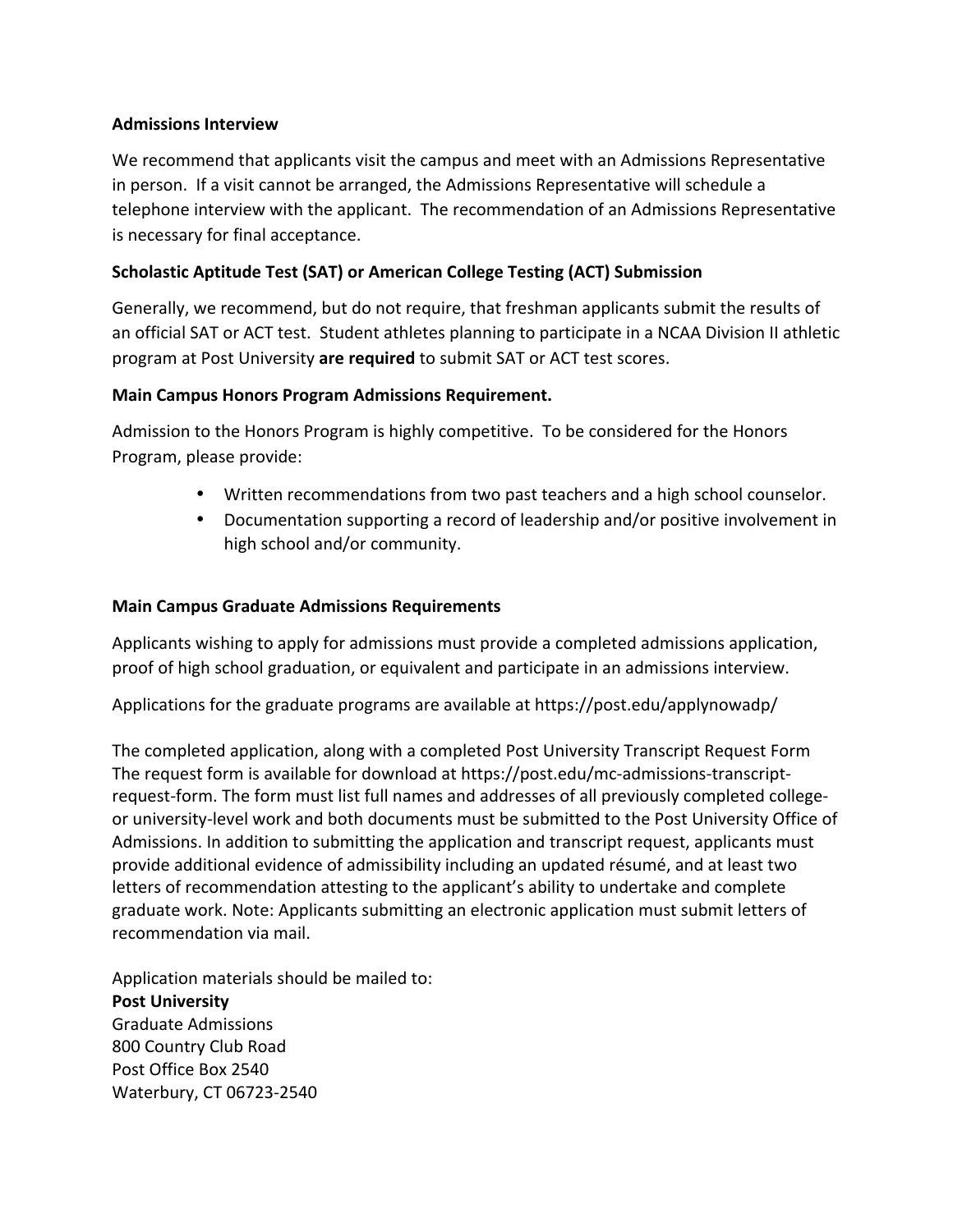#### **Admissions Interview**

We recommend that applicants visit the campus and meet with an Admissions Representative in person. If a visit cannot be arranged, the Admissions Representative will schedule a telephone interview with the applicant. The recommendation of an Admissions Representative is necessary for final acceptance.

## **Scholastic Aptitude Test (SAT) or American College Testing (ACT) Submission**

Generally, we recommend, but do not require, that freshman applicants submit the results of an official SAT or ACT test. Student athletes planning to participate in a NCAA Division II athletic program at Post University are required to submit SAT or ACT test scores.

#### **Main Campus Honors Program Admissions Requirement.**

Admission to the Honors Program is highly competitive. To be considered for the Honors Program, please provide:

- Written recommendations from two past teachers and a high school counselor.
- Documentation supporting a record of leadership and/or positive involvement in high school and/or community.

### **Main Campus Graduate Admissions Requirements**

Applicants wishing to apply for admissions must provide a completed admissions application, proof of high school graduation, or equivalent and participate in an admissions interview.

Applications for the graduate programs are available at https://post.edu/applynowadp/

The completed application, along with a completed Post University Transcript Request Form The request form is available for download at https://post.edu/mc-admissions-transcriptrequest-form. The form must list full names and addresses of all previously completed collegeor university-level work and both documents must be submitted to the Post University Office of Admissions. In addition to submitting the application and transcript request, applicants must provide additional evidence of admissibility including an updated résumé, and at least two letters of recommendation attesting to the applicant's ability to undertake and complete graduate work. Note: Applicants submitting an electronic application must submit letters of recommendation via mail.

Application materials should be mailed to: **Post University** Graduate Admissions 800 Country Club Road Post Office Box 2540 Waterbury, CT 06723-2540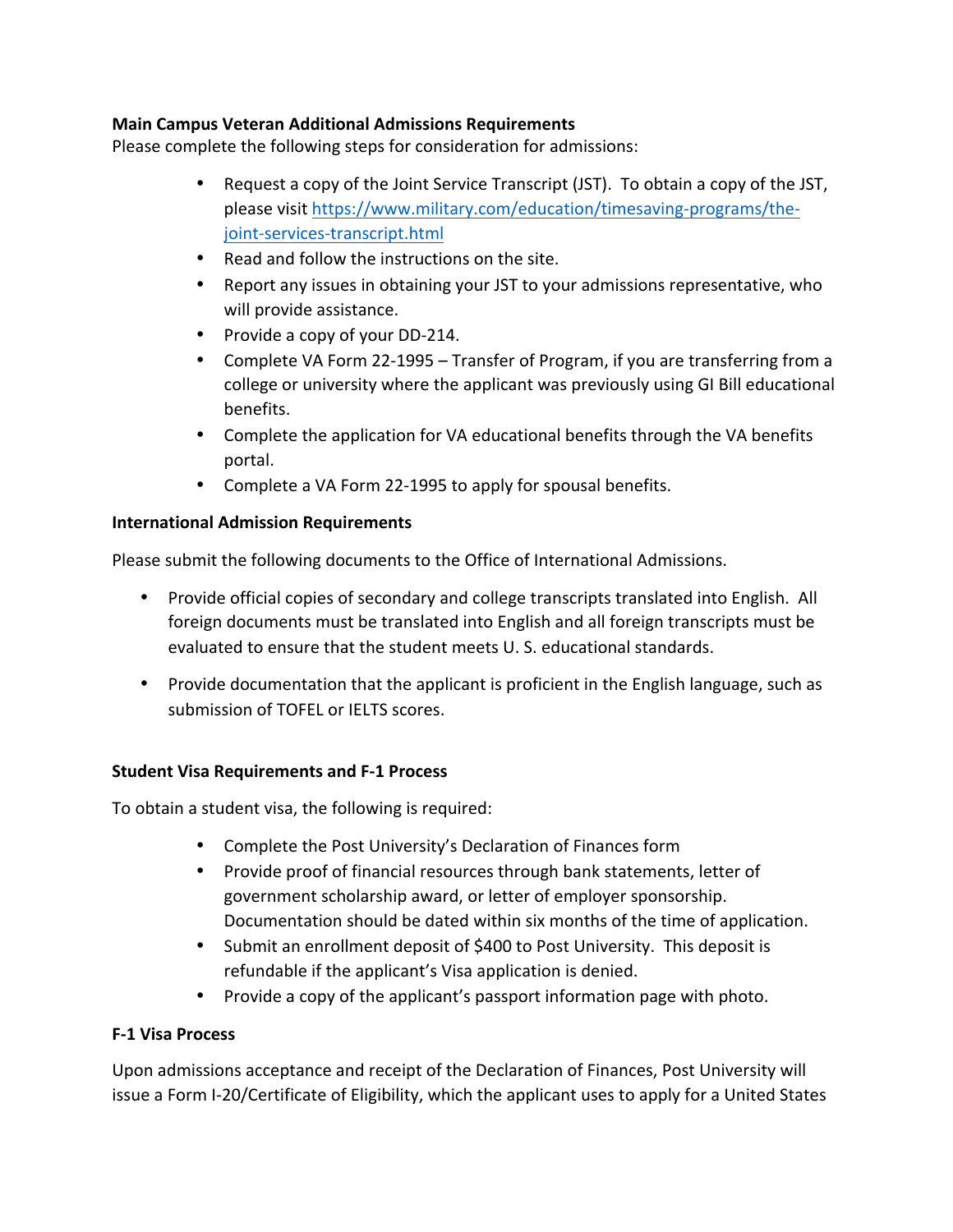## **Main Campus Veteran Additional Admissions Requirements**

Please complete the following steps for consideration for admissions:

- Request a copy of the Joint Service Transcript (JST). To obtain a copy of the JST, please visit [https://www.military.com/education/timesaving-programs/the](https://www.military.com/education/timesaving-programs/the-joint-services-transcript.html)[joint-services-transcript.html](https://www.military.com/education/timesaving-programs/the-joint-services-transcript.html)
- Read and follow the instructions on the site.
- Report any issues in obtaining your JST to your admissions representative, who will provide assistance.
- Provide a copy of your DD-214.
- Complete VA Form 22-1995 Transfer of Program, if you are transferring from a college or university where the applicant was previously using GI Bill educational benefits.
- Complete the application for VA educational benefits through the VA benefits portal.
- Complete a VA Form 22-1995 to apply for spousal benefits.

## **International Admission Requirements**

Please submit the following documents to the Office of International Admissions.

- Provide official copies of secondary and college transcripts translated into English. All foreign documents must be translated into English and all foreign transcripts must be evaluated to ensure that the student meets U.S. educational standards.
- Provide documentation that the applicant is proficient in the English language, such as submission of TOFEL or IELTS scores.

## **Student Visa Requirements and F-1 Process**

To obtain a student visa, the following is required:

- Complete the Post University's Declaration of Finances form
- Provide proof of financial resources through bank statements, letter of government scholarship award, or letter of employer sponsorship. Documentation should be dated within six months of the time of application.
- Submit an enrollment deposit of \$400 to Post University. This deposit is refundable if the applicant's Visa application is denied.
- Provide a copy of the applicant's passport information page with photo.

## **F-1 Visa Process**

Upon admissions acceptance and receipt of the Declaration of Finances, Post University will issue a Form I-20/Certificate of Eligibility, which the applicant uses to apply for a United States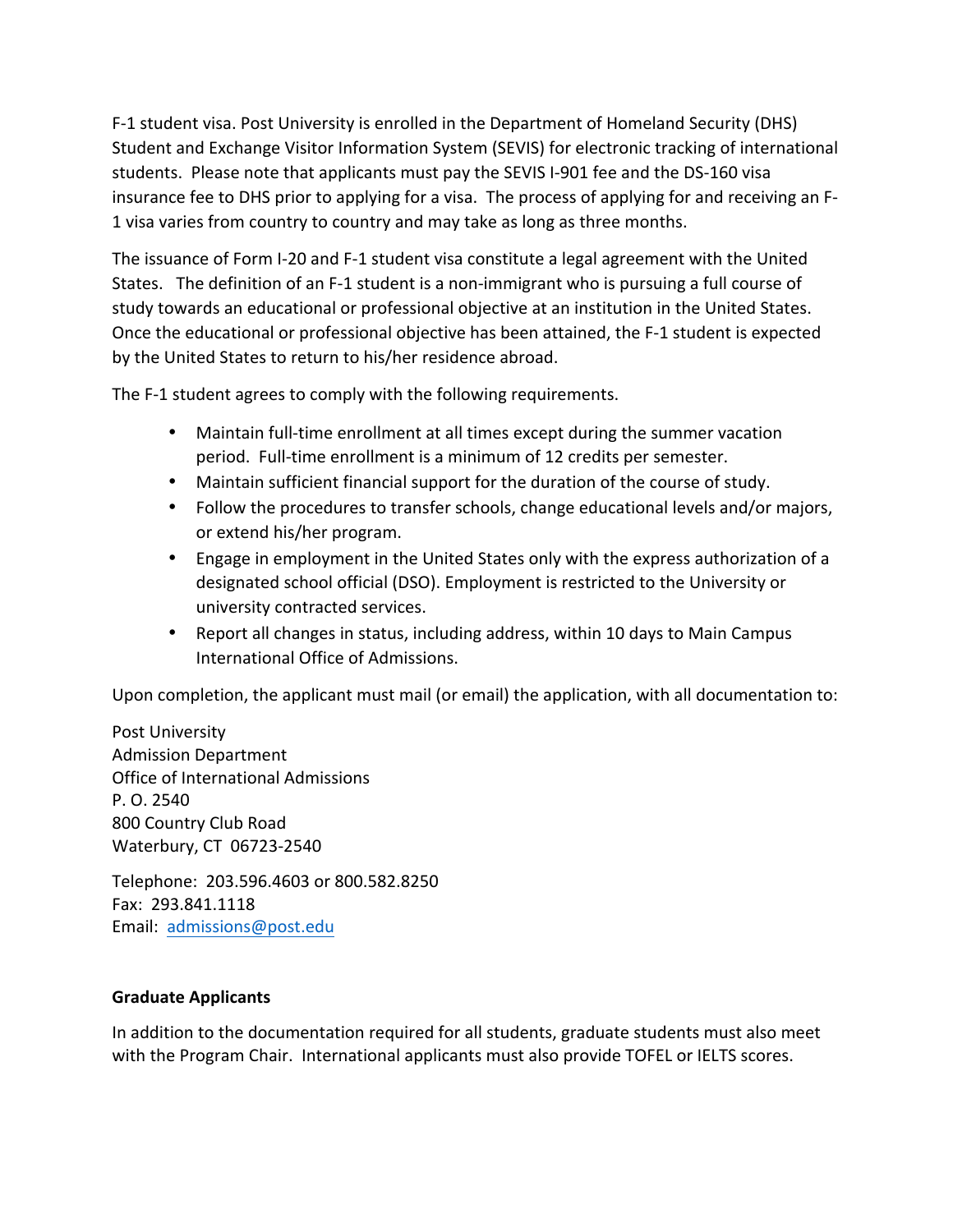F-1 student visa. Post University is enrolled in the Department of Homeland Security (DHS) Student and Exchange Visitor Information System (SEVIS) for electronic tracking of international students. Please note that applicants must pay the SEVIS I-901 fee and the DS-160 visa insurance fee to DHS prior to applying for a visa. The process of applying for and receiving an F-1 visa varies from country to country and may take as long as three months.

The issuance of Form I-20 and F-1 student visa constitute a legal agreement with the United States. The definition of an F-1 student is a non-immigrant who is pursuing a full course of study towards an educational or professional objective at an institution in the United States. Once the educational or professional objective has been attained, the F-1 student is expected by the United States to return to his/her residence abroad.

The F-1 student agrees to comply with the following requirements.

- Maintain full-time enrollment at all times except during the summer vacation period. Full-time enrollment is a minimum of 12 credits per semester.
- Maintain sufficient financial support for the duration of the course of study.
- Follow the procedures to transfer schools, change educational levels and/or majors, or extend his/her program.
- Engage in employment in the United States only with the express authorization of a designated school official (DSO). Employment is restricted to the University or university contracted services.
- Report all changes in status, including address, within 10 days to Main Campus International Office of Admissions.

Upon completion, the applicant must mail (or email) the application, with all documentation to:

Post University Admission Department Office of International Admissions P. O. 2540 800 Country Club Road Waterbury, CT 06723-2540

Telephone: 203.596.4603 or 800.582.8250 Fax: 293.841.1118 Email: admissions@post.edu

## **Graduate Applicants**

In addition to the documentation required for all students, graduate students must also meet with the Program Chair. International applicants must also provide TOFEL or IELTS scores.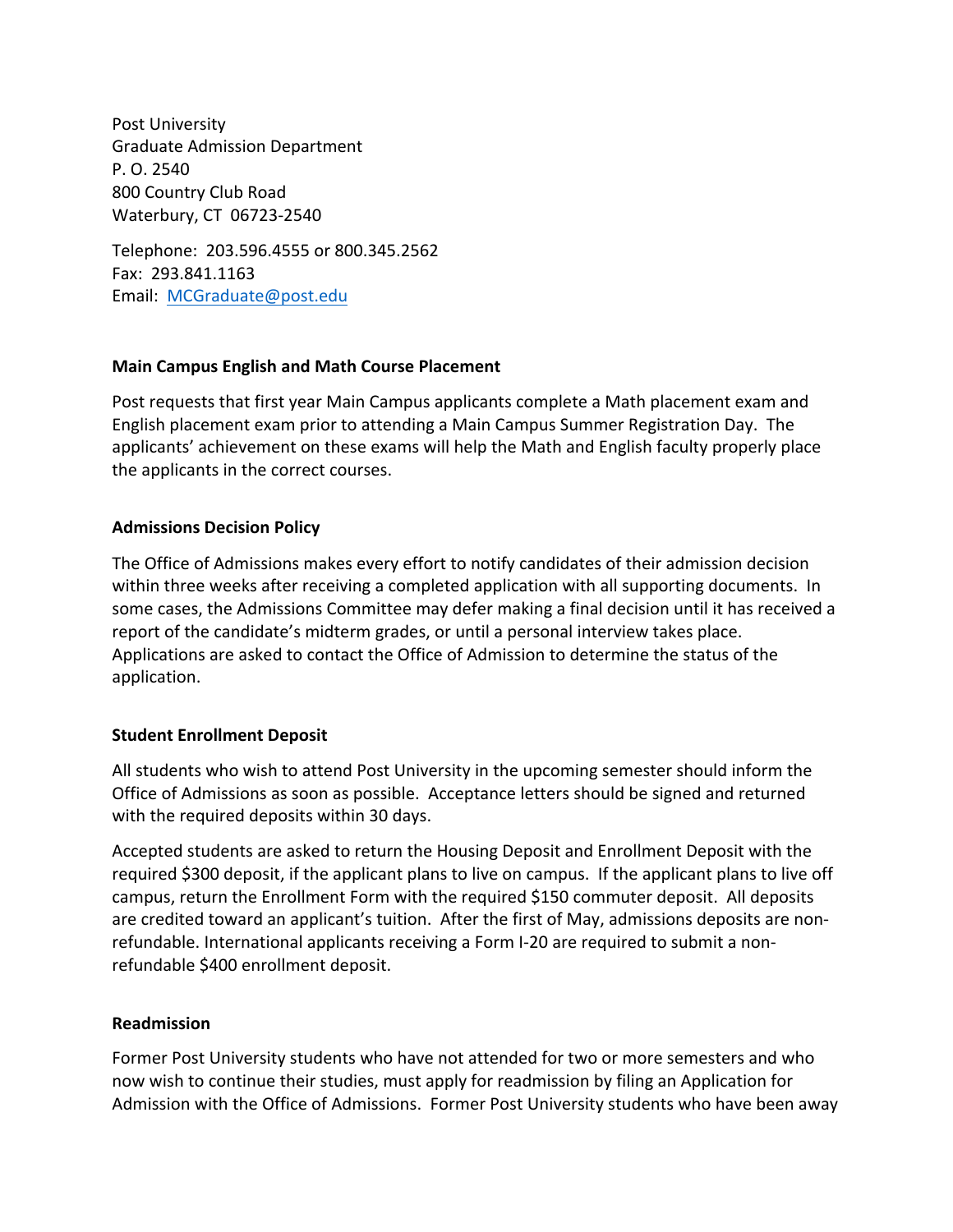Post University Graduate Admission Department P. O. 2540 800 Country Club Road Waterbury, CT 06723-2540

Telephone: 203.596.4555 or 800.345.2562 Fax: 293.841.1163 Email: MCGraduate@post.edu

#### **Main Campus English and Math Course Placement**

Post requests that first year Main Campus applicants complete a Math placement exam and English placement exam prior to attending a Main Campus Summer Registration Day. The applicants' achievement on these exams will help the Math and English faculty properly place the applicants in the correct courses.

#### **Admissions Decision Policy**

The Office of Admissions makes every effort to notify candidates of their admission decision within three weeks after receiving a completed application with all supporting documents. In some cases, the Admissions Committee may defer making a final decision until it has received a report of the candidate's midterm grades, or until a personal interview takes place. Applications are asked to contact the Office of Admission to determine the status of the application.

## **Student Enrollment Deposit**

All students who wish to attend Post University in the upcoming semester should inform the Office of Admissions as soon as possible. Acceptance letters should be signed and returned with the required deposits within 30 days.

Accepted students are asked to return the Housing Deposit and Enrollment Deposit with the required \$300 deposit, if the applicant plans to live on campus. If the applicant plans to live off campus, return the Enrollment Form with the required \$150 commuter deposit. All deposits are credited toward an applicant's tuition. After the first of May, admissions deposits are nonrefundable. International applicants receiving a Form I-20 are required to submit a nonrefundable \$400 enrollment deposit.

#### **Readmission**

Former Post University students who have not attended for two or more semesters and who now wish to continue their studies, must apply for readmission by filing an Application for Admission with the Office of Admissions. Former Post University students who have been away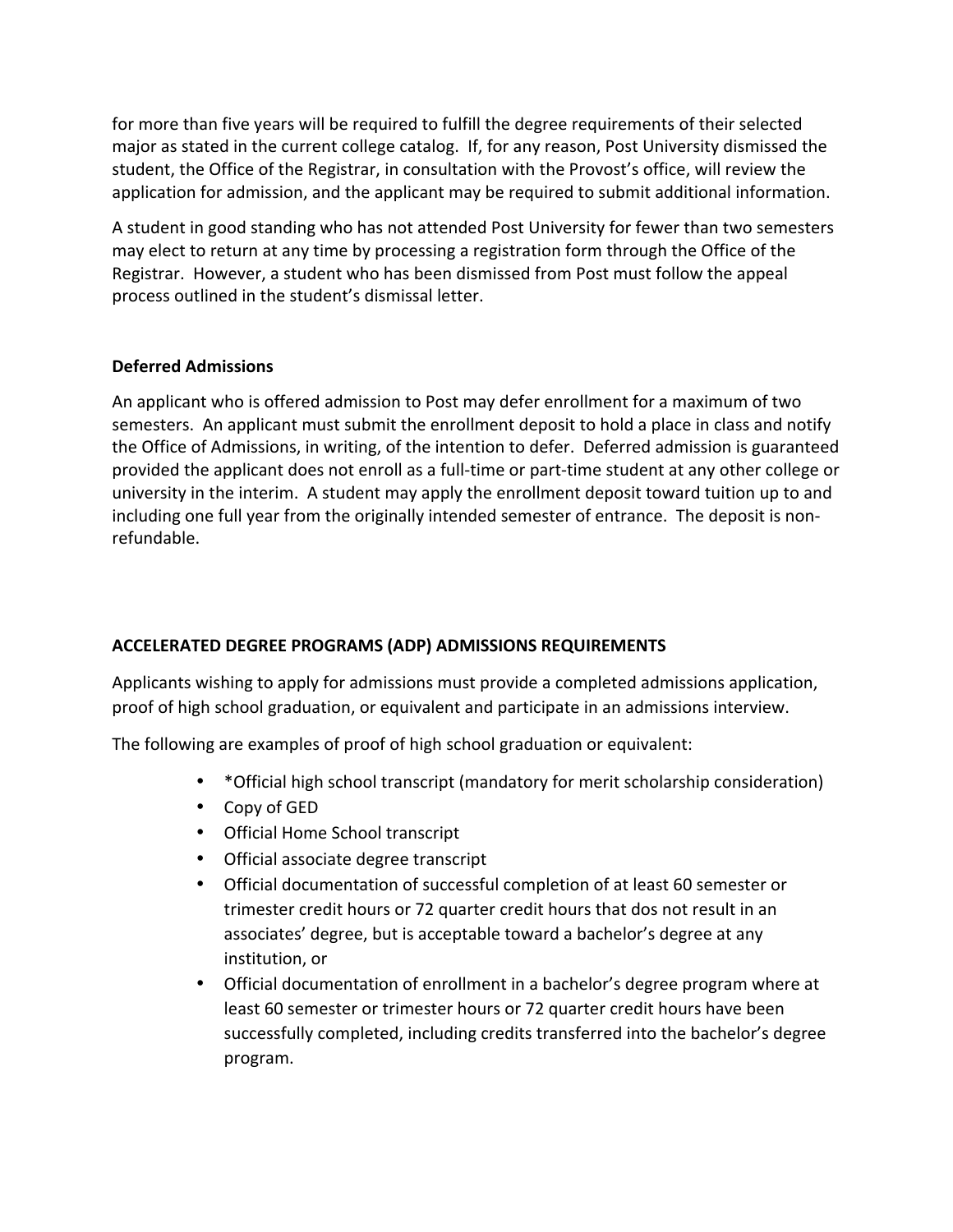for more than five years will be required to fulfill the degree requirements of their selected major as stated in the current college catalog. If, for any reason, Post University dismissed the student, the Office of the Registrar, in consultation with the Provost's office, will review the application for admission, and the applicant may be required to submit additional information.

A student in good standing who has not attended Post University for fewer than two semesters may elect to return at any time by processing a registration form through the Office of the Registrar. However, a student who has been dismissed from Post must follow the appeal process outlined in the student's dismissal letter.

#### **Deferred Admissions**

An applicant who is offered admission to Post may defer enrollment for a maximum of two semesters. An applicant must submit the enrollment deposit to hold a place in class and notify the Office of Admissions, in writing, of the intention to defer. Deferred admission is guaranteed provided the applicant does not enroll as a full-time or part-time student at any other college or university in the interim. A student may apply the enrollment deposit toward tuition up to and including one full year from the originally intended semester of entrance. The deposit is nonrefundable.

## **ACCELERATED DEGREE PROGRAMS (ADP) ADMISSIONS REQUIREMENTS**

Applicants wishing to apply for admissions must provide a completed admissions application, proof of high school graduation, or equivalent and participate in an admissions interview.

The following are examples of proof of high school graduation or equivalent:

- \* Official high school transcript (mandatory for merit scholarship consideration)
- Copy of GED
- Official Home School transcript
- Official associate degree transcript
- Official documentation of successful completion of at least 60 semester or trimester credit hours or 72 quarter credit hours that dos not result in an associates' degree, but is acceptable toward a bachelor's degree at any institution, or
- Official documentation of enrollment in a bachelor's degree program where at least 60 semester or trimester hours or 72 quarter credit hours have been successfully completed, including credits transferred into the bachelor's degree program.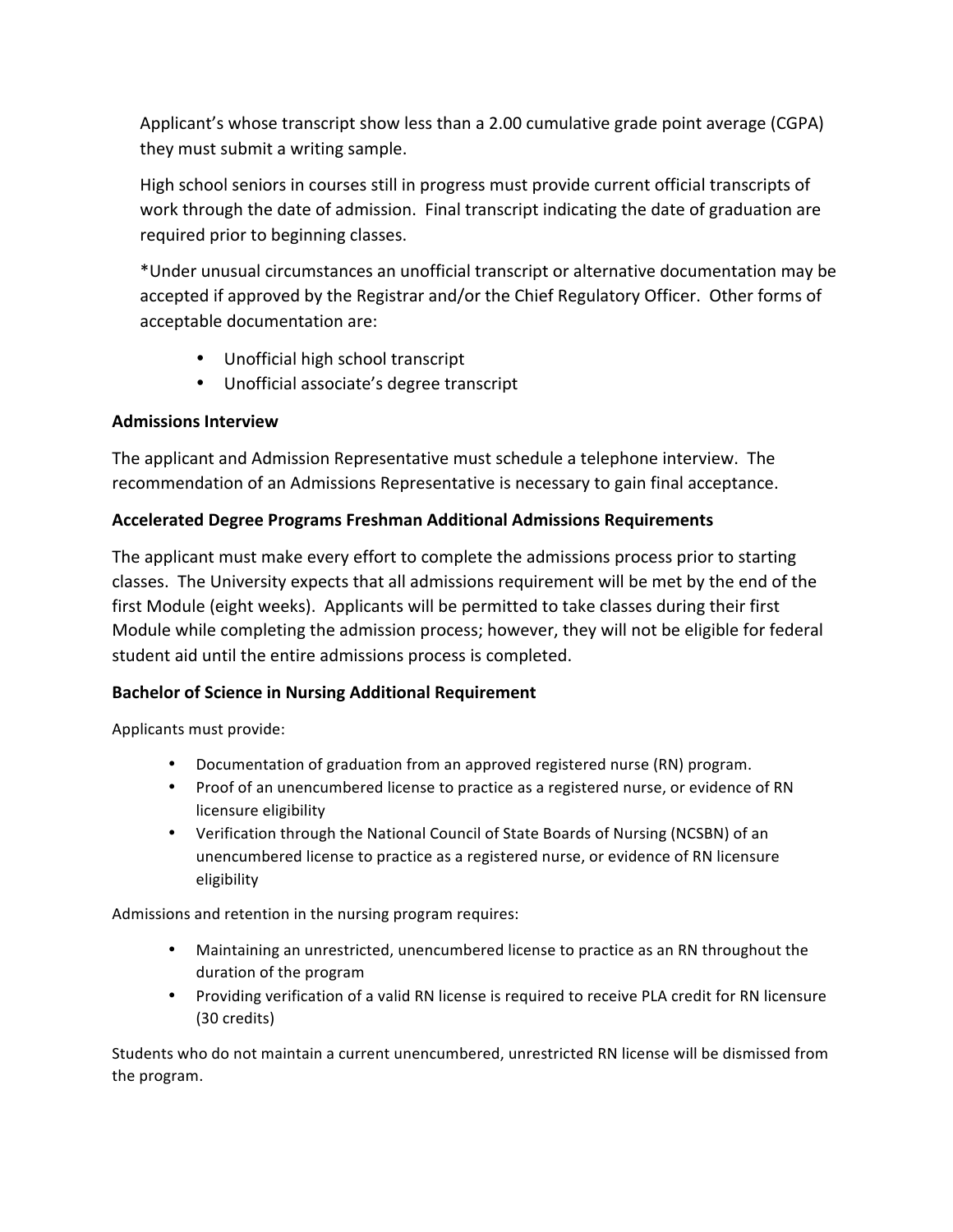Applicant's whose transcript show less than a 2.00 cumulative grade point average (CGPA) they must submit a writing sample.

High school seniors in courses still in progress must provide current official transcripts of work through the date of admission. Final transcript indicating the date of graduation are required prior to beginning classes.

\*Under unusual circumstances an unofficial transcript or alternative documentation may be accepted if approved by the Registrar and/or the Chief Regulatory Officer. Other forms of acceptable documentation are:

- Unofficial high school transcript
- Unofficial associate's degree transcript

## **Admissions Interview**

The applicant and Admission Representative must schedule a telephone interview. The recommendation of an Admissions Representative is necessary to gain final acceptance.

## **Accelerated Degree Programs Freshman Additional Admissions Requirements**

The applicant must make every effort to complete the admissions process prior to starting classes. The University expects that all admissions requirement will be met by the end of the first Module (eight weeks). Applicants will be permitted to take classes during their first Module while completing the admission process; however, they will not be eligible for federal student aid until the entire admissions process is completed.

## **Bachelor of Science in Nursing Additional Requirement**

Applicants must provide:

- Documentation of graduation from an approved registered nurse (RN) program.
- Proof of an unencumbered license to practice as a registered nurse, or evidence of RN licensure eligibility
- Verification through the National Council of State Boards of Nursing (NCSBN) of an unencumbered license to practice as a registered nurse, or evidence of RN licensure eligibility

Admissions and retention in the nursing program requires:

- Maintaining an unrestricted, unencumbered license to practice as an RN throughout the duration of the program
- Providing verification of a valid RN license is required to receive PLA credit for RN licensure (30 credits)

Students who do not maintain a current unencumbered, unrestricted RN license will be dismissed from the program.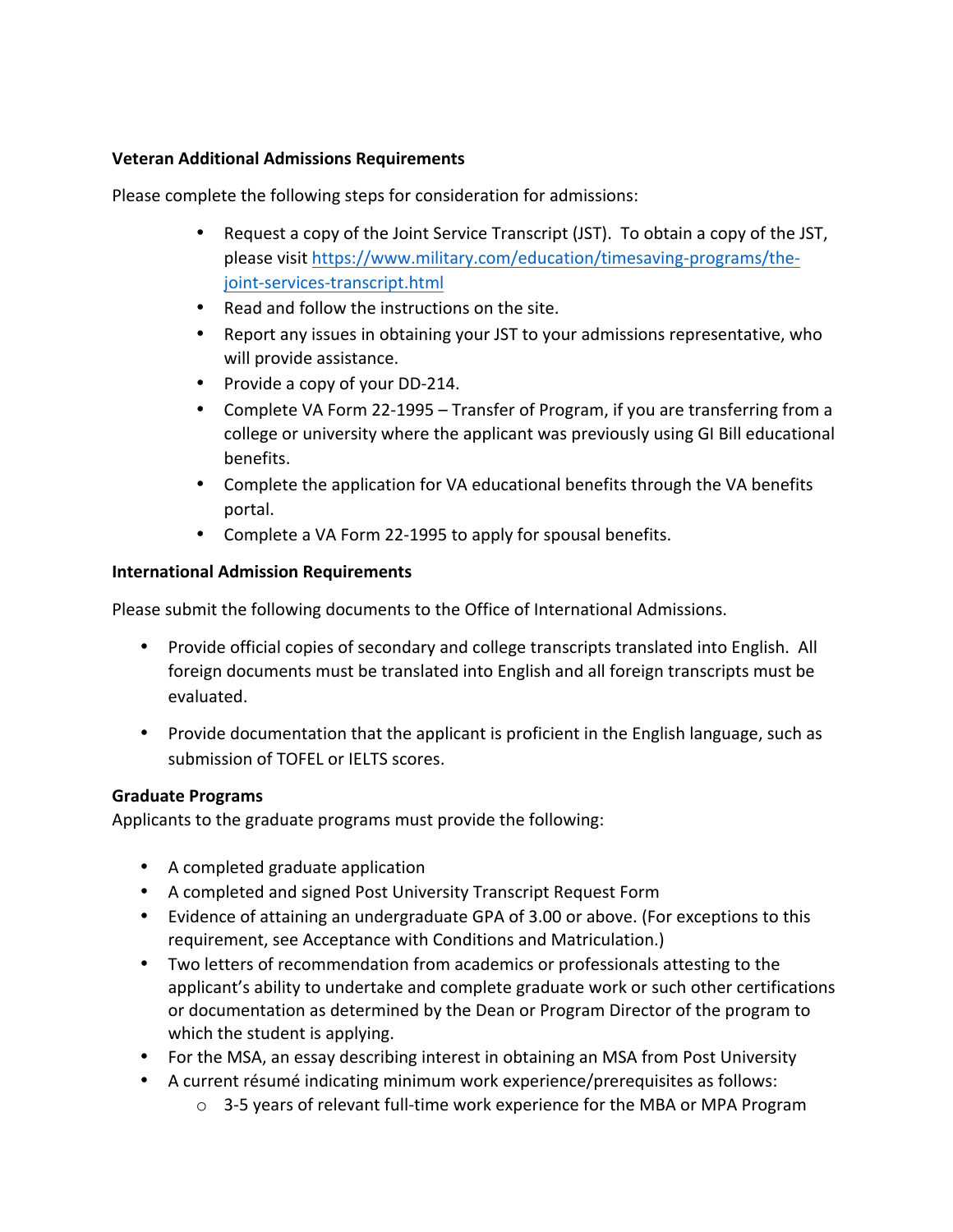#### **Veteran Additional Admissions Requirements**

Please complete the following steps for consideration for admissions:

- Request a copy of the Joint Service Transcript (JST). To obtain a copy of the JST, please visit [https://www.military.com/education/timesaving-programs/the](https://www.military.com/education/timesaving-programs/the-joint-services-transcript.html)[joint-services-transcript.html](https://www.military.com/education/timesaving-programs/the-joint-services-transcript.html)
- Read and follow the instructions on the site.
- Report any issues in obtaining your JST to your admissions representative, who will provide assistance.
- Provide a copy of your DD-214.
- Complete VA Form 22-1995 Transfer of Program, if you are transferring from a college or university where the applicant was previously using GI Bill educational benefits.
- Complete the application for VA educational benefits through the VA benefits portal.
- Complete a VA Form 22-1995 to apply for spousal benefits.

#### **International Admission Requirements**

Please submit the following documents to the Office of International Admissions.

- Provide official copies of secondary and college transcripts translated into English. All foreign documents must be translated into English and all foreign transcripts must be evaluated.
- Provide documentation that the applicant is proficient in the English language, such as submission of TOFEL or IELTS scores.

#### **Graduate Programs**

Applicants to the graduate programs must provide the following:

- A completed graduate application
- A completed and signed Post University Transcript Request Form
- Evidence of attaining an undergraduate GPA of 3.00 or above. (For exceptions to this requirement, see Acceptance with Conditions and Matriculation.)
- Two letters of recommendation from academics or professionals attesting to the applicant's ability to undertake and complete graduate work or such other certifications or documentation as determined by the Dean or Program Director of the program to which the student is applying.
- For the MSA, an essay describing interest in obtaining an MSA from Post University
- A current résumé indicating minimum work experience/prerequisites as follows:
	- $\circ$  3-5 years of relevant full-time work experience for the MBA or MPA Program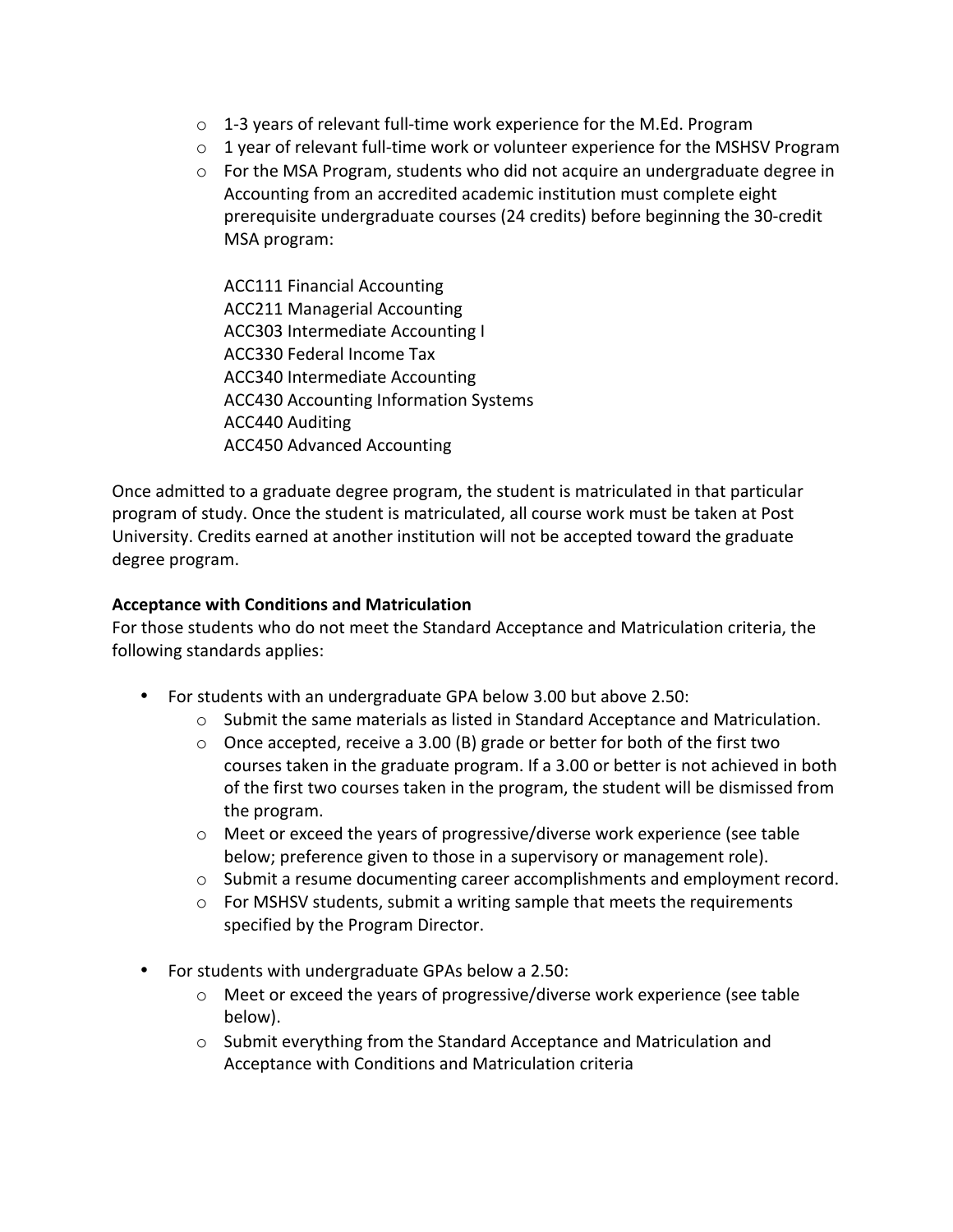- $\circ$  1-3 years of relevant full-time work experience for the M.Ed. Program
- $\circ$  1 year of relevant full-time work or volunteer experience for the MSHSV Program
- $\circ$  For the MSA Program, students who did not acquire an undergraduate degree in Accounting from an accredited academic institution must complete eight prerequisite undergraduate courses (24 credits) before beginning the 30-credit MSA program:
	- ACC111 Financial Accounting ACC211 Managerial Accounting ACC303 Intermediate Accounting I ACC330 Federal Income Tax ACC340 Intermediate Accounting ACC430 Accounting Information Systems ACC440 Auditing ACC450 Advanced Accounting

Once admitted to a graduate degree program, the student is matriculated in that particular program of study. Once the student is matriculated, all course work must be taken at Post University. Credits earned at another institution will not be accepted toward the graduate degree program.

#### **Acceptance with Conditions and Matriculation**

For those students who do not meet the Standard Acceptance and Matriculation criteria, the following standards applies:

- For students with an undergraduate GPA below 3.00 but above 2.50:
	- $\circ$  Submit the same materials as listed in Standard Acceptance and Matriculation.
	- $\circ$  Once accepted, receive a 3.00 (B) grade or better for both of the first two courses taken in the graduate program. If a 3.00 or better is not achieved in both of the first two courses taken in the program, the student will be dismissed from the program.
	- $\circ$  Meet or exceed the years of progressive/diverse work experience (see table below; preference given to those in a supervisory or management role).
	- $\circ$  Submit a resume documenting career accomplishments and employment record.
	- $\circ$  For MSHSV students, submit a writing sample that meets the requirements specified by the Program Director.
- For students with undergraduate GPAs below a 2.50:
	- $\circ$  Meet or exceed the years of progressive/diverse work experience (see table below).
	- $\circ$  Submit everything from the Standard Acceptance and Matriculation and Acceptance with Conditions and Matriculation criteria